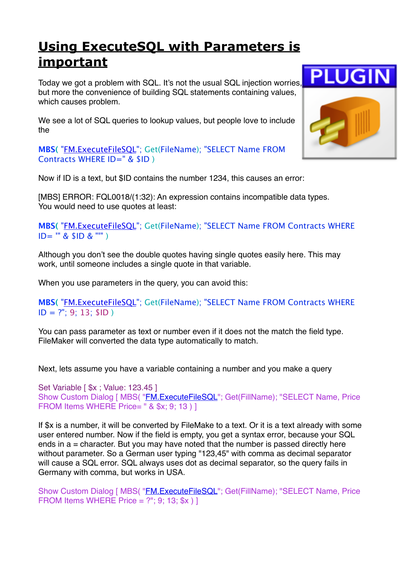## **[Using ExecuteSQL with Parameters is](https://www.mbs-plugins.com/archive/2018-02-06/Using_ExecuteSQL_with_Paramete/monkeybreadsoftware_blog_filemaker)  [important](https://www.mbs-plugins.com/archive/2018-02-06/Using_ExecuteSQL_with_Paramete/monkeybreadsoftware_blog_filemaker)**

Today we got a problem with SQL. It's not the usual SQL injection worries, but more the convenience of building SQL statements containing values, which causes problem.

We see a lot of SQL queries to lookup values, but people love to include the

**MBS(** ["FM.ExecuteFileSQL](http://www.mbsplugins.eu/FMExecuteFileSQL.shtml)"; Get(FileName); "SELECT Name FROM Contracts WHERE ID=" & \$ID )

Now if ID is a text, but \$ID contains the number 1234, this causes an error:

[MBS] ERROR: FQL0018/(1:32): An expression contains incompatible data types. You would need to use quotes at least:

**MBS(** ["FM.ExecuteFileSQL](http://www.mbsplugins.eu/FMExecuteFileSQL.shtml)"; Get(FileName); "SELECT Name FROM Contracts WHERE ID= '" & \$ID & "'" )

Although you don't see the double quotes having single quotes easily here. This may work, until someone includes a single quote in that variable.

When you use parameters in the query, you can avoid this:

**MBS(** ["FM.ExecuteFileSQL](http://www.mbsplugins.eu/FMExecuteFileSQL.shtml)"; Get(FileName); "SELECT Name FROM Contracts WHERE  $ID = ?$ "; 9; 13; \$ID)

You can pass parameter as text or number even if it does not the match the field type. FileMaker will converted the data type automatically to match.

Next, lets assume you have a variable containing a number and you make a query

```
Set Variable [ $x ; Value: 123.45 ]
Show Custom Dialog [ MBS( "FM.ExecuteFileSQL"; Get(FillName); "SELECT Name, Price
FROM Items WHERE Price= " & $x; 9; 13 ) ]
```
If \$x is a number, it will be converted by FileMake to a text. Or it is a text already with some user entered number. Now if the field is empty, you get a syntax error, because your SQL ends in  $a =$  character. But you may have noted that the number is passed directly here without parameter. So a German user typing "123,45" with comma as decimal separator will cause a SQL error. SQL always uses dot as decimal separator, so the query fails in Germany with comma, but works in USA.

Show Custom Dialog [ MBS( "*FM.ExecuteFileSQL*"; Get(FillName); "SELECT Name, Price FROM Items WHERE Price =  $?$ "; 9; 13; \$x ) ]